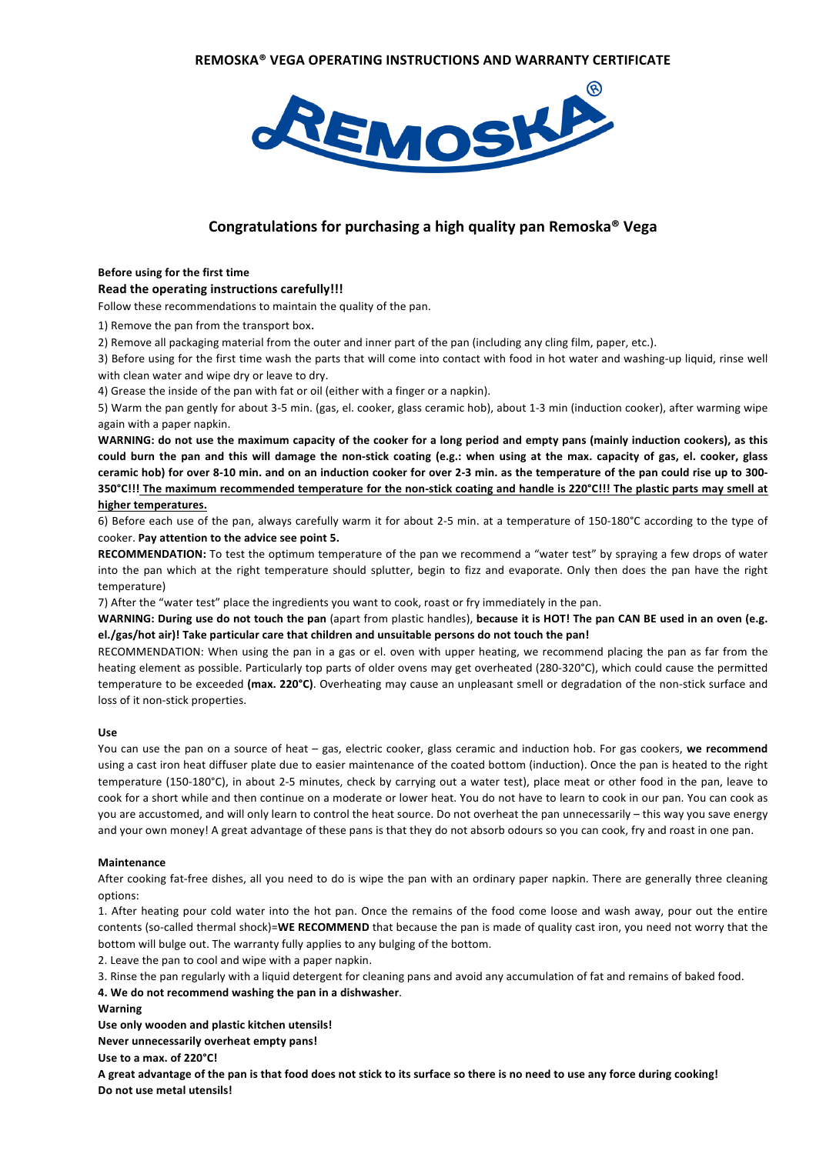

## **Congratulations for purchasing a high quality pan Remoska<sup>®</sup> Vega**

#### **Before using for the first time**

#### Read the operating instructions carefully!!!

Follow these recommendations to maintain the quality of the pan.

1) Remove the pan from the transport box.

2) Remove all packaging material from the outer and inner part of the pan (including any cling film, paper, etc.).

3) Before using for the first time wash the parts that will come into contact with food in hot water and washing-up liquid, rinse well with clean water and wipe dry or leave to dry.

4) Grease the inside of the pan with fat or oil (either with a finger or a napkin).

5) Warm the pan gently for about 3-5 min. (gas, el. cooker, glass ceramic hob), about 1-3 min (induction cooker), after warming wipe again with a paper napkin.

WARNING: do not use the maximum capacity of the cooker for a long period and empty pans (mainly induction cookers), as this could burn the pan and this will damage the non-stick coating (e.g.: when using at the max. capacity of gas, el. cooker, glass ceramic hob) for over 8-10 min. and on an induction cooker for over 2-3 min. as the temperature of the pan could rise up to 300-350°C!!! The maximum recommended temperature for the non-stick coating and handle is 220°C!!! The plastic parts may smell at higher temperatures.

### 6) Before each use of the pan, always carefully warm it for about 2-5 min. at a temperature of 150-180°C according to the type of cooker. **Pay attention to the advice see point 5.**

**RECOMMENDATION:** To test the optimum temperature of the pan we recommend a "water test" by spraying a few drops of water into the pan which at the right temperature should splutter, begin to fizz and evaporate. Only then does the pan have the right temperature)

7) After the "water test" place the ingredients you want to cook, roast or fry immediately in the pan.

WARNING: During use do not touch the pan (apart from plastic handles), because it is HOT! The pan CAN BE used in an oven (e.g. el./gas/hot air)! Take particular care that children and unsuitable persons do not touch the pan!

RECOMMENDATION: When using the pan in a gas or el. oven with upper heating, we recommend placing the pan as far from the heating element as possible. Particularly top parts of older ovens may get overheated (280-320°C), which could cause the permitted temperature to be exceeded (max. 220°C). Overheating may cause an unpleasant smell or degradation of the non-stick surface and loss of it non-stick properties.

#### **Use**

You can use the pan on a source of heat – gas, electric cooker, glass ceramic and induction hob. For gas cookers, we recommend using a cast iron heat diffuser plate due to easier maintenance of the coated bottom (induction). Once the pan is heated to the right temperature (150-180°C), in about 2-5 minutes, check by carrying out a water test), place meat or other food in the pan, leave to cook for a short while and then continue on a moderate or lower heat. You do not have to learn to cook in our pan. You can cook as you are accustomed, and will only learn to control the heat source. Do not overheat the pan unnecessarily – this way you save energy and your own money! A great advantage of these pans is that they do not absorb odours so you can cook, fry and roast in one pan.

#### **Maintenance**

After cooking fat-free dishes, all you need to do is wipe the pan with an ordinary paper napkin. There are generally three cleaning options:

1. After heating pour cold water into the hot pan. Once the remains of the food come loose and wash away, pour out the entire contents (so-called thermal shock)=WE RECOMMEND that because the pan is made of quality cast iron, you need not worry that the bottom will bulge out. The warranty fully applies to any bulging of the bottom.

2. Leave the pan to cool and wipe with a paper napkin.

3. Rinse the pan regularly with a liquid detergent for cleaning pans and avoid any accumulation of fat and remains of baked food.

**4. We do not recommend washing the pan in a dishwasher**.

**Warning**

Use only wooden and plastic kitchen utensils!

**Never unnecessarily overheat empty pans!**

**Use to a max. of 220°C!**

A great advantage of the pan is that food does not stick to its surface so there is no need to use any force during cooking! Do not use metal utensils!